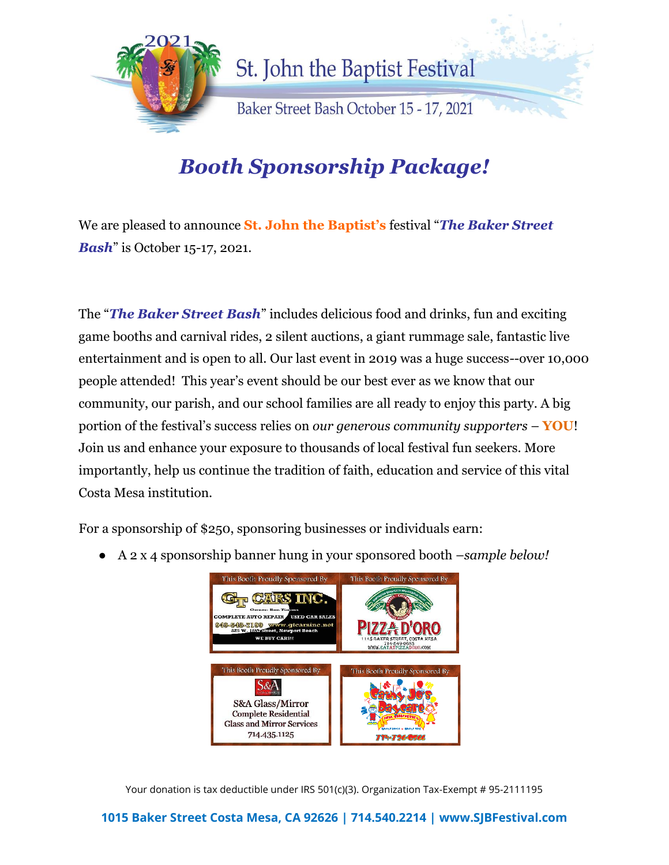

## *Booth Sponsorship Package!*

We are pleased to announce **St. John the Baptist's** festival "*The Baker Street Bash*" is October 15-17, 2021.

The "*The Baker Street Bash*" includes delicious food and drinks, fun and exciting game booths and carnival rides, 2 silent auctions, a giant rummage sale, fantastic live entertainment and is open to all. Our last event in 2019 was a huge success--over 10,000 people attended! This year's event should be our best ever as we know that our community, our parish, and our school families are all ready to enjoy this party. A big portion of the festival's success relies on *our generous community supporters* – **YOU**! Join us and enhance your exposure to thousands of local festival fun seekers. More importantly, help us continue the tradition of faith, education and service of this vital Costa Mesa institution.

For a sponsorship of \$250, sponsoring businesses or individuals earn:

● A 2 x 4 sponsorship banner hung in your sponsored booth –*sample below!*



Your donation is tax deductible under IRS 501(c)(3). Organization Tax-Exempt # 95-2111195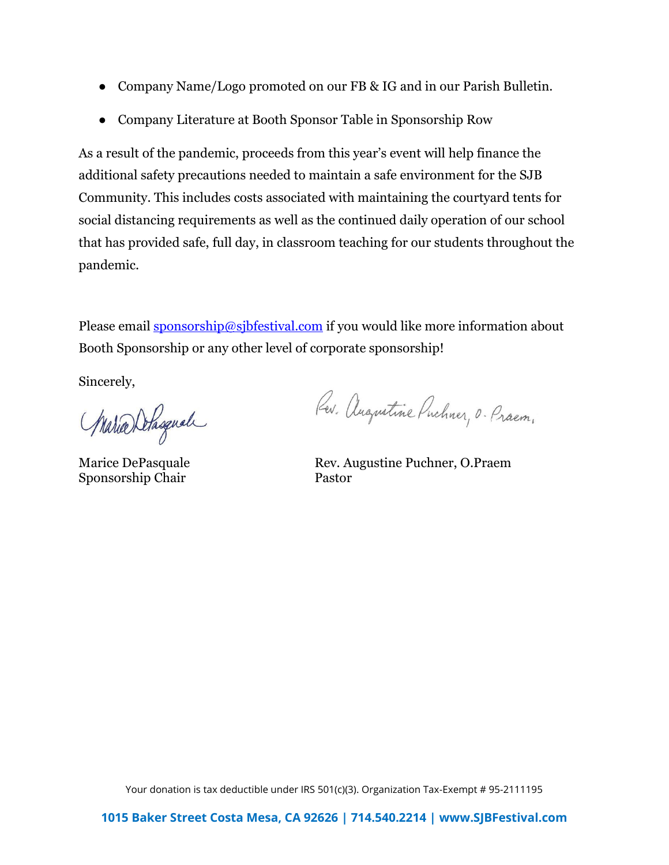- Company Name/Logo promoted on our FB & IG and in our Parish Bulletin.
- Company Literature at Booth Sponsor Table in Sponsorship Row

As a result of the pandemic, proceeds from this year's event will help finance the additional safety precautions needed to maintain a safe environment for the SJB Community. This includes costs associated with maintaining the courtyard tents for social distancing requirements as well as the continued daily operation of our school that has provided safe, full day, in classroom teaching for our students throughout the pandemic.

Please email [sponsorship@sjbfestival.com](mailto:sponsorship@sjbfestival.com) if you would like more information about Booth Sponsorship or any other level of corporate sponsorship!

Sincerely,

Warra Delagual

Sponsorship Chair Pastor

Rev. Augustine Puchner, O. Praem.

Marice DePasquale Rev. Augustine Puchner, O.Praem

Your donation is tax deductible under IRS 501(c)(3). Organization Tax-Exempt # 95-2111195